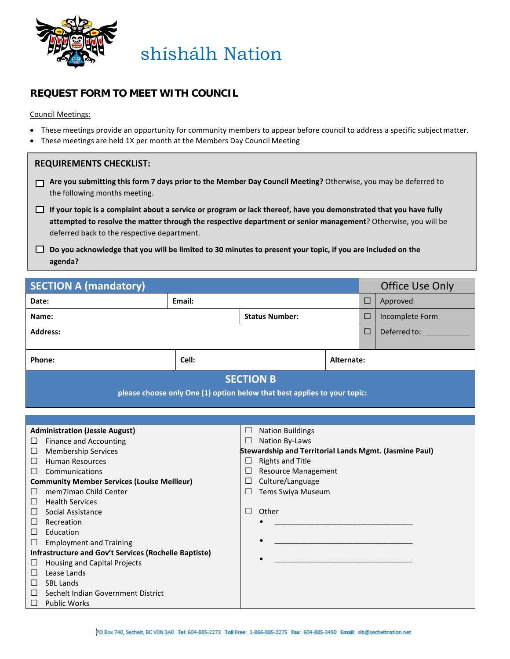

## **REQUEST FORM TO MEET WITH COUNCIL**

Council Meetings:

- These meetings provide an opportunity for community members to appear before council to address a specific subjectmatter.
- These meetings are held 1X per month at the Members Day Council Meeting

| <b>REQUIREMENTS CHECKLIST:</b> |  |  |  |
|--------------------------------|--|--|--|
|--------------------------------|--|--|--|

- **Are you submitting this form 7 days prior to the Member Day Council Meeting?** Otherwise, you may be deferred to the following months meeting.
- **If your topic is a complaint about a service or program or lack thereof, have you demonstrated that you have fully attempted to resolve the matter through the respective department or senior management**? Otherwise, you will be deferred back to the respective department.
- **Do you acknowledge that you will be limited to 30 minutes to present your topic, if you are included on the agenda?**

| <b>SECTION A (mandatory)</b>                                                                 |                     | <b>Office Use Only</b>    |                    |  |  |
|----------------------------------------------------------------------------------------------|---------------------|---------------------------|--------------------|--|--|
| Date:                                                                                        | Email:              |                           | $\Box$<br>Approved |  |  |
| <b>Status Number:</b><br>Name:                                                               |                     | $\Box$<br>Incomplete Form |                    |  |  |
| <b>Address:</b>                                                                              |                     | $\Box$                    | Deferred to:       |  |  |
|                                                                                              |                     |                           |                    |  |  |
| Phone:                                                                                       | Cell:<br>Alternate: |                           |                    |  |  |
| <b>SECTION B</b><br>please choose only One (1) option below that best applies to your topic: |                     |                           |                    |  |  |
|                                                                                              |                     |                           |                    |  |  |
|                                                                                              |                     |                           |                    |  |  |
| <b>Administration (Jessie August)</b><br><b>Nation Buildings</b><br>$\Box$                   |                     |                           |                    |  |  |
| Finance and Accounting<br>Nation By-Laws<br>ப                                                |                     |                           |                    |  |  |

| <b>Membership Services</b>                         | Stewardship and Territorial Lands Mgmt. (Jasmine Paul) |
|----------------------------------------------------|--------------------------------------------------------|
| $\Box$<br><b>Human Resources</b>                   | Rights and Title                                       |
| П.<br>Communications                               | <b>Resource Management</b>                             |
| <b>Community Member Services (Louise Meilleur)</b> | $\Box$ Culture/Language                                |
| mem7iman Child Center                              | Tems Swiya Museum                                      |

 $\bullet$   $\qquad \qquad \qquad \qquad \qquad \qquad \qquad \qquad \qquad \qquad \qquad \qquad \qquad \qquad \qquad \qquad \qquad \qquad \qquad \qquad \qquad \qquad \qquad \qquad \qquad \qquad \qquad \qquad \qquad \qquad \qquad \qquad \qquad \qquad \qquad \qquad \qquad \qquad \qquad \qquad \qquad \qquad \qquad \q$ 

 $\bullet$   $\qquad \qquad \qquad \qquad \qquad \qquad \qquad \qquad \qquad \qquad \qquad \qquad \qquad \qquad \qquad \qquad \qquad \qquad \qquad \qquad \qquad \qquad \qquad \qquad \qquad \qquad \qquad \qquad \qquad \qquad \qquad \qquad \qquad \qquad \qquad \qquad \qquad \qquad \qquad \qquad \qquad \qquad \qquad \q$ 

 $\bullet$   $\qquad \qquad \qquad \qquad \qquad \qquad \qquad \qquad \qquad \qquad \qquad \qquad \qquad \qquad \qquad \qquad \qquad \qquad \qquad \qquad \qquad \qquad \qquad \qquad \qquad \qquad \qquad \qquad \qquad \qquad \qquad \qquad \qquad \qquad \qquad \qquad \qquad \qquad \qquad \qquad \qquad \qquad \qquad \q$ 

| Other |
|-------|
|-------|

| $\Box$ Social Assistance |
|--------------------------|
| $\Box$ Recreation        |

 $\Box$  Health Services

- $\Box$  Education
- $\Box$  Employment and Training

|  | <b>Infrastructure and Gov't Services (Rochelle Baptiste)</b> |  |
|--|--------------------------------------------------------------|--|
|  | $\Box$ . The contract could constitute Direct contra         |  |

- $\Box$  Housing and Capital Projects
- $\square$  Lease Lands  $\Box$  SBL Lands
- 
- $\Box$  Sechelt Indian Government District
- $\Box$  Public Works